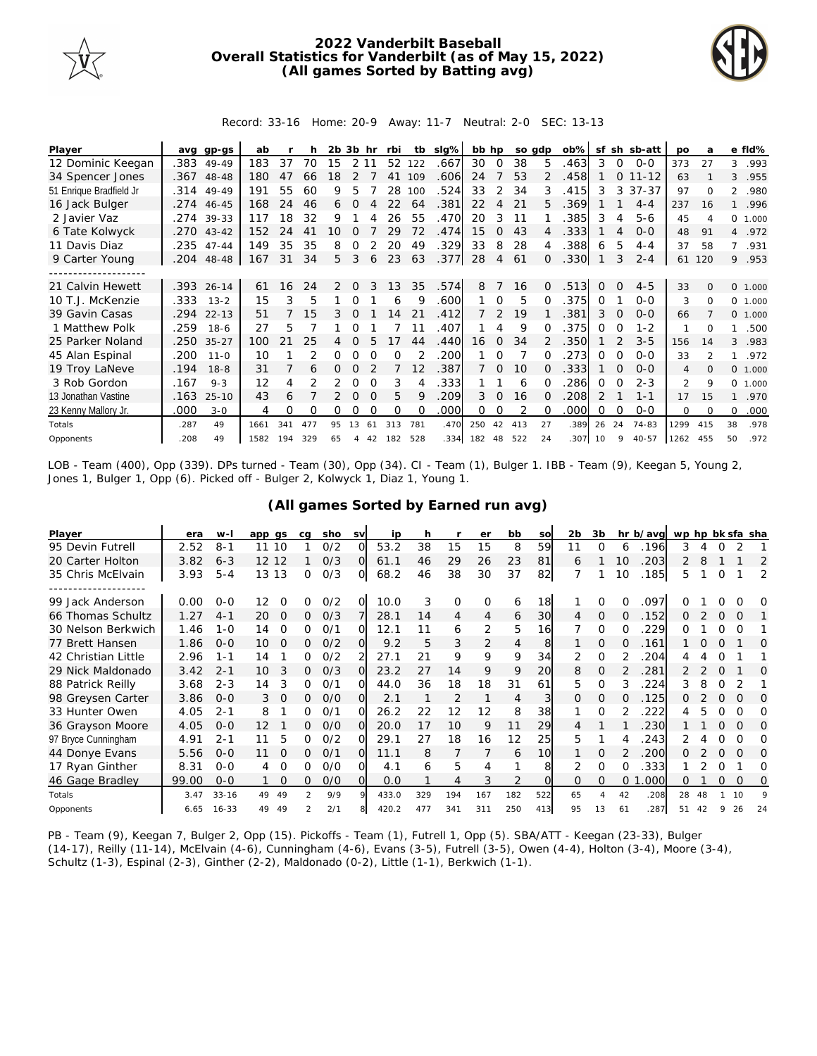

## **2022 Vanderbilt Baseball Overall Statistics for Vanderbilt (as of May 15, 2022) (All games Sorted by Batting avg)**



Record: 33-16 Home: 20-9 Away: 11-7 Neutral: 2-0 SEC: 13-13

| Player                  | ava  | ap-as      | ab   |     | h   | 2b. | 3b hr    |          | rbi      | tb          | slg% | bb hp |          |        | so gdp        | $ob\%$ |          |          | sf sh sb-att | <b>DO</b>      | a              |                | e fld%   |
|-------------------------|------|------------|------|-----|-----|-----|----------|----------|----------|-------------|------|-------|----------|--------|---------------|--------|----------|----------|--------------|----------------|----------------|----------------|----------|
| 12 Dominic Keegan       | .383 | 49-49      | 183  | 37  | 70  | 15  | 2 1 1    |          | 52       | 122         | .667 | 30    | $\Omega$ | 38     | 5.            | .463   | 3        | 0        | $0 - 0$      | 373            | 27             | 3              | .993     |
| 34 Spencer Jones        |      | .367 48-48 | 180  | 47  | 66  | 18  |          |          | 41       | 109         | .606 | 24    |          | 53     | $\mathcal{P}$ | .458   |          | $\Omega$ | $11 - 12$    | 63             |                | 3              | .955     |
| 51 Enrique Bradfield Jr | .314 | 49-49      | 191  | 55  | 60  | 9   | 5        |          | 28       | 100         | .524 | 33    | 2        | 34     | 3             | .415   | 3        | 3        | $37 - 37$    | 97             | $\Omega$       | $\mathfrak{D}$ | .980     |
| 16 Jack Bulger          | .274 | 46-45      | 168  | 24  | 46  | 6.  | $\Omega$ | Δ        | 22       | 64          | .381 | 22    | 4        | 21     | 5.            | .369   |          |          | $4 - 4$      | 237            | 16             | $\mathbf{1}$   | .996     |
| 2 Javier Vaz            |      | .274 39-33 | 117  | 18  | 32  | 9   |          |          | 26       | 55          | .470 | 20    | 3        | 11     |               | 385    | 3        | 4        | $5 - 6$      | 45             | 4              |                | 0, 1,000 |
| 6 Tate Kolwyck          | .270 | $43 - 42$  | 152  | 24  | 41  | 10  |          |          | 29       | 72          | .474 | 15    | 0        | 43     | 4             | .333   |          | 4        | $0 - 0$      | 48             | 91             | $\overline{4}$ | .972     |
| 11 Davis Diaz           | .235 | $47 - 44$  | 149  | 35  | 35  | 8   | 0        |          | 20       | 49          | .329 | 33    | 8        | 28     | 4             | .388   | 6        | 5        | $4 - 4$      | 37             | 58             | $7^{\circ}$    | .931     |
| 9 Carter Young          | .204 | 48-48      | 167  | 31  | 34  | 5   | 3        | 6        | 23       | 63          | .377 | 28    | 4        | 61     | Ω             | .330   |          | 3        | $2 - 4$      | 61             | 120            |                | 9 .953   |
|                         |      |            |      |     |     |     |          |          |          |             |      |       |          |        |               |        |          |          |              |                |                |                |          |
| 21 Calvin Hewett        |      | .393 26-14 | 61   | 16  | 24  | 2   | $\Omega$ | 3        | 13       | 35          | .574 | 8     |          | 16     | $\Omega$      | .513   | $\Omega$ | $\Omega$ | $4 - 5$      | 33             | $\Omega$       |                | 0 1.000  |
| 10 T.J. McKenzie        | .333 | $13 - 2$   | 15   | 3   | 5   |     |          |          | 6        | 9           | .600 |       | $\Omega$ | 5      |               | .375   | 0        |          | $O-O$        | 3              | 0              | $\Omega$       | 1.000    |
| 39 Gavin Casas          | .294 | $22 - 13$  | 51   |     | 15  | 3.  |          |          | 14       | 21          | .412 |       |          | 19     |               | 381    | 3        | $\Omega$ | $O - O$      | 66             |                |                | 0 1.000  |
| 1 Matthew Polk          | .259 | $18-6$     | 27   | 5   |     |     | Ω        |          |          | 11          | .407 |       |          | 9      |               | 375    | 0        | ∩        | $1 - 2$      | 1              | 0              | 1              | .500     |
| 25 Parker Noland        | .250 | $35 - 27$  | 100  |     | 25  |     |          |          |          | 44          | .440 | 16    | $\Omega$ | 34     |               | .350   |          |          | $3 - 5$      | 156            | 14             | 3              | .983     |
| 45 Alan Espinal         | .200 | $11 - 0$   | 10   |     |     | 0   |          | $\Omega$ | $\Omega$ |             | 200  |       | $\Omega$ |        |               | 273    | 0        | $\Omega$ | $0 - 0$      | 33             | $\mathfrak{D}$ | 1              | .972     |
| 19 Troy LaNeve          | .194 | $18 - 8$   | 31   |     | 6   | 0   | 0        |          |          | 12          | .387 |       | 0        | 10     |               | .333   |          | $\Omega$ | $O - O$      | $\overline{4}$ | $\Omega$       |                | 0 1.000  |
| 3 Rob Gordon            | .167 | $9 - 3$    | 12   | 4   |     |     | 0        | $\Omega$ | 3        |             | .333 |       |          | 6      |               | 286    | $\Omega$ | $\Omega$ | $2 - 3$      | $\overline{2}$ | 9              | 0              | 1.000    |
| 13 Jonathan Vastine     | .163 | $25 - 10$  | 43   | 6   |     |     | $\Omega$ | $\Omega$ | 5        | $\mathsf Q$ | .209 | 3     | $\Omega$ | 16     | O.            | .208   | 2        |          | $1 - 1$      | 17             | 15             | 1              | .970     |
| 23 Kenny Mallory Jr.    | .000 | $3 - 0$    | 4    | Ω   | O   | 0   |          |          | O        | $\Omega$    | .000 | 0     | 0        |        | 0             | .000   | 0        | $\Omega$ | $0 - 0$      | 0              | $\Omega$       | 0              | .000     |
| Totals                  | .287 | 49         | 1661 | 341 | 477 | 95  | 13       | 61       | 313      | 781         | .470 | 250   | 42       | 413    | 27            | .389   | 26       | 24       | 74-83        | 1299           | 415            | 38             | .978     |
| Opponents               | .208 | 49         | 1582 | 194 | 329 | 65  | 4        | 42       | 182      | 528         | .334 | 182   |          | 48 522 | 24            | .307   | 10       | 9        | $40 - 57$    | 1262           | 455            | 50             | .972     |

LOB - Team (400), Opp (339). DPs turned - Team (30), Opp (34). CI - Team (1), Bulger 1. IBB - Team (9), Keegan 5, Young 2, Jones 1, Bulger 1, Opp (6). Picked off - Bulger 2, Kolwyck 1, Diaz 1, Young 1.

|  |  | (All games Sorted by Earned run avg) |  |  |
|--|--|--------------------------------------|--|--|
|  |  |                                      |  |  |

| Player              | era   | $W -$     | app gs   |          | ca | sho | <b>SV</b> | ip    | h   |                | er       | bb             | SO  | 2 <sub>b</sub> | 3b       |          | hr b/avg | wp hp bk sfa sha |    |          |          |          |
|---------------------|-------|-----------|----------|----------|----|-----|-----------|-------|-----|----------------|----------|----------------|-----|----------------|----------|----------|----------|------------------|----|----------|----------|----------|
| 95 Devin Futrell    | 2.52  | $8 - 1$   | 10<br>11 |          |    | 0/2 | O         | 53.2  | 38  | 15             | 15       | 8              | 59  | 11             | O        | 6        | 196      | 3                |    |          |          |          |
| 20 Carter Holton    | 3.82  | $6 - 3$   | 12 12    |          |    | 0/3 | Ω         | 61.1  | 46  | 29             | 26       | 23             | 81  | 6              |          | 10       | 203      | 2                | 8  |          |          | 2        |
| 35 Chris McElvain   | 3.93  | $5 - 4$   | 13<br>13 |          | 0  | 0/3 | O         | 68.2  | 46  | 38             | 30       | 37             | 82  |                |          | 10       | 185      | 5                |    | $\Omega$ |          | 2        |
|                     |       |           |          |          |    |     |           |       |     |                |          |                |     |                |          |          |          |                  |    |          |          |          |
| 99 Jack Anderson    | 0.00  | $O-O$     | 12       | Ω        | Ω  | O/2 | Ω         | 10.0  | 3   | 0              | $\Omega$ | 6              | 18  |                | Ω        |          | .097     |                  |    |          |          | O        |
| 66 Thomas Schultz   | 1.27  | $4 - 1$   | 20       | $\Omega$ | 0  | O/3 |           | 28.1  | 14  | $\overline{4}$ | 4        | 6              | 30  | 4              | $\Omega$ | 0        | .152     | 0                |    | $\Omega$ | $\Omega$ |          |
| 30 Nelson Berkwich  | 1.46  | $1 - 0$   | 14       | $\Omega$ | 0  | 0/1 | $\Omega$  | 12.1  | 11  | 6              | 2        | 5              | 16  |                | $\Omega$ |          | 229      | ∩                |    |          | $\Omega$ |          |
| 77 Brett Hansen     | 1.86  | $0 - 0$   | 10       | $\Omega$ | 0  | O/2 | $\Omega$  | 9.2   | 5   | 3              | 2        | $\overline{4}$ | 8   |                | $\Omega$ | $\Omega$ | .161     |                  |    | $\Omega$ |          | Ω        |
| 42 Christian Little | 2.96  | $1 - 1$   | 14       |          | 0  | 0/2 |           | 27.1  | 21  | 9              | 9        | 9              | 34  | 2              | $\Omega$ |          | 204      | 4                |    | Ω        |          |          |
| 29 Nick Maldonado   | 3.42  | $2 - 1$   | 10       | 3        | Ω. | O/3 |           | 23.2  | 27  | 14             | 9        | 9              | 20  | 8              | $\Omega$ |          | 281      |                  |    |          |          | O        |
| 88 Patrick Reilly   | 3.68  | $2 - 3$   | 14       | 3        | 0  | 0/1 | ∩         | 44.0  | 36  | 18             | 18       | 31             | 61  | 5.             | $\Omega$ |          | 224      | 3                |    | $\Omega$ |          |          |
| 98 Greysen Carter   | 3.86  | $0 - 0$   | 3        | $\Omega$ | 0  | O/O | $\Omega$  | 2.1   |     | 2              |          | 4              | 3   | $\Omega$       | $\Omega$ |          | 125      |                  |    |          | $\Omega$ | O        |
| 33 Hunter Owen      | 4.05  | $2 - 1$   | 8        |          | 0  | O/1 | O         | 26.2  | 22  | 12             | 12       | 8              | 38  |                | $\Omega$ |          | 222      |                  | 5  | Ω        | 0        | Ω        |
| 36 Grayson Moore    | 4.05  | $O - O$   | 12       |          | 0  | O/O | Ω         | 20.0  | 17  | 10             | 9        | 11             | 29  |                |          |          | 230      |                  |    | O        | $\Omega$ | O        |
| 97 Bryce Cunningham | 4.91  | $2 - 1$   | 11       | 5        | 0  | 0/2 |           | 29.1  | 27  | 18             | 16       | 12             | 25  | 5.             |          |          | 243      |                  |    | 0        | ∩        | 0        |
| 44 Donye Evans      | 5.56  | $O - O$   | 11       | $\Omega$ | 0  | 0/1 | $\Omega$  | 11.1  | 8   | 7              |          | 6              | 10  |                | $\Omega$ |          | 200      | 0                |    | $\Omega$ | $\Omega$ | $\Omega$ |
| 17 Ryan Ginther     | 8.31  | $0 - 0$   | 4        | $\Omega$ | 0  | O/O | O         | 4.1   | 6   | 5              | 4        |                | 8   | 2              | $\Omega$ |          | 333      |                  |    | O        |          | Ω        |
| 46 Gage Bradley     | 99.00 | $0 - 0$   |          | $\Omega$ | 0  | O/O | Ω         | 0.0   |     | 4              | 3        |                |     | $\Omega$       | $\Omega$ | $\Omega$ | .000     | 0                |    | 0        | $\Omega$ | 0        |
| Totals              | 3.47  | $33 - 16$ | 49<br>49 |          | 2  | 9/9 |           | 433.0 | 329 | 194            | 167      | 182            | 522 | 65             | 4        | 42       | .208     | 28               | 48 |          | 10       | q        |
| Opponents           | 6.65  | $16 - 33$ | 49<br>49 |          |    | 2/1 |           | 420.2 | 477 | 341            | 311      | 250            | 413 | 95             | 13       | 61       | .287     | 51               | 42 | 9        | 26       | 24       |

PB - Team (9), Keegan 7, Bulger 2, Opp (15). Pickoffs - Team (1), Futrell 1, Opp (5). SBA/ATT - Keegan (23-33), Bulger (14-17), Reilly (11-14), McElvain (4-6), Cunningham (4-6), Evans (3-5), Futrell (3-5), Owen (4-4), Holton (3-4), Moore (3-4), Schultz (1-3), Espinal (2-3), Ginther (2-2), Maldonado (0-2), Little (1-1), Berkwich (1-1).